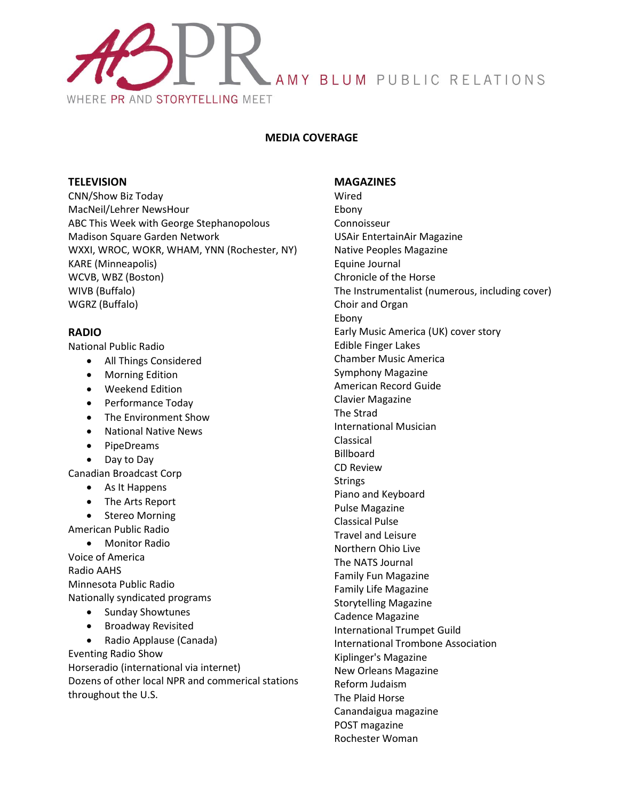

# **MEDIA COVERAGE**

## **TELEVISION**

CNN/Show Biz Today MacNeil/Lehrer NewsHour ABC This Week with George Stephanopolous Madison Square Garden Network WXXI, WROC, WOKR, WHAM, YNN (Rochester, NY) KARE (Minneapolis) WCVB, WBZ (Boston) WIVB (Buffalo) WGRZ (Buffalo)

# **RADIO**

National Public Radio

- All Things Considered
- Morning Edition
- Weekend Edition
- Performance Today
- The Environment Show
- National Native News
- PipeDreams
- Day to Day

Canadian Broadcast Corp

- As It Happens
- The Arts Report
- Stereo Morning
- American Public Radio

 Monitor Radio Voice of America Radio AAHS Minnesota Public Radio Nationally syndicated programs

- Sunday Showtunes
- Broadway Revisited

 Radio Applause (Canada) Eventing Radio Show Horseradio (international via internet) Dozens of other local NPR and commerical stations throughout the U.S.

#### **MAGAZINES**

Wired Ebony Connoisseur USAir EntertainAir Magazine Native Peoples Magazine Equine Journal Chronicle of the Horse The Instrumentalist (numerous, including cover) Choir and Organ Ebony Early Music America (UK) cover story Edible Finger Lakes Chamber Music America Symphony Magazine American Record Guide Clavier Magazine The Strad International Musician Classical Billboard CD Review **Strings** Piano and Keyboard Pulse Magazine Classical Pulse Travel and Leisure Northern Ohio Live The NATS Journal Family Fun Magazine Family Life Magazine Storytelling Magazine Cadence Magazine International Trumpet Guild International Trombone Association Kiplinger's Magazine New Orleans Magazine Reform Judaism The Plaid Horse Canandaigua magazine POST magazine Rochester Woman